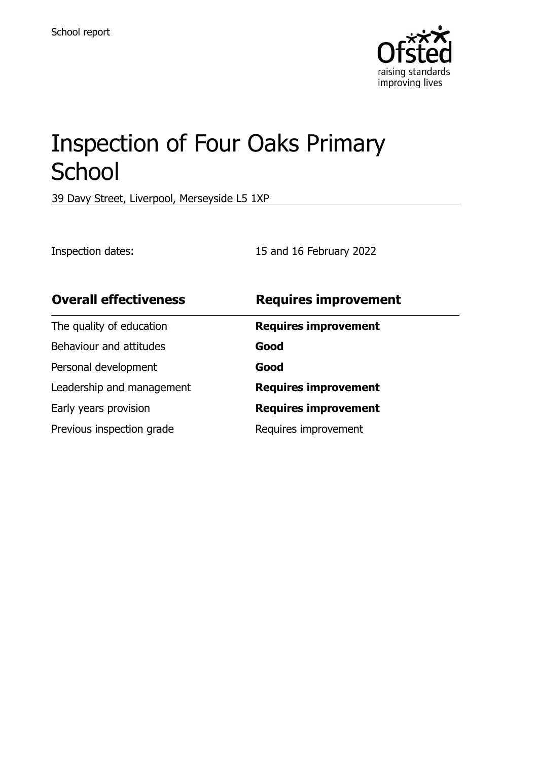

# Inspection of Four Oaks Primary **School**

39 Davy Street, Liverpool, Merseyside L5 1XP

Inspection dates: 15 and 16 February 2022

| <b>Overall effectiveness</b> | <b>Requires improvement</b> |
|------------------------------|-----------------------------|
| The quality of education     | <b>Requires improvement</b> |
| Behaviour and attitudes      | Good                        |
| Personal development         | Good                        |
| Leadership and management    | <b>Requires improvement</b> |
| Early years provision        | <b>Requires improvement</b> |
| Previous inspection grade    | Requires improvement        |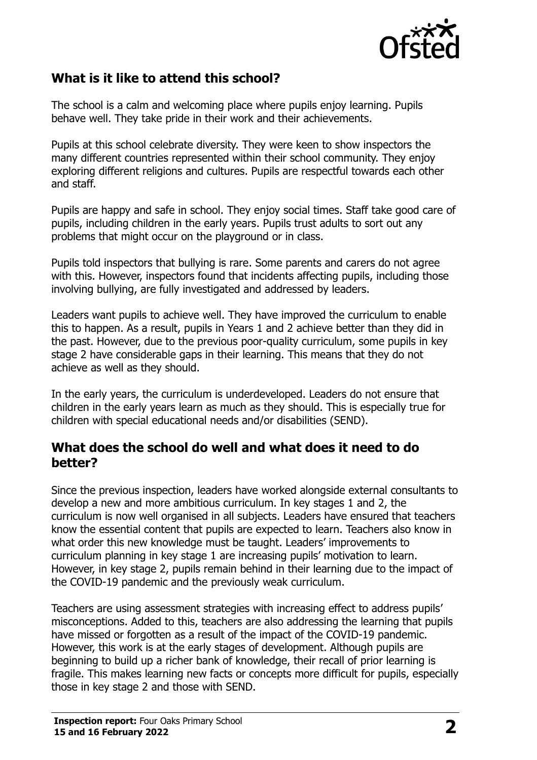

## **What is it like to attend this school?**

The school is a calm and welcoming place where pupils enjoy learning. Pupils behave well. They take pride in their work and their achievements.

Pupils at this school celebrate diversity. They were keen to show inspectors the many different countries represented within their school community. They enjoy exploring different religions and cultures. Pupils are respectful towards each other and staff.

Pupils are happy and safe in school. They enjoy social times. Staff take good care of pupils, including children in the early years. Pupils trust adults to sort out any problems that might occur on the playground or in class.

Pupils told inspectors that bullying is rare. Some parents and carers do not agree with this. However, inspectors found that incidents affecting pupils, including those involving bullying, are fully investigated and addressed by leaders.

Leaders want pupils to achieve well. They have improved the curriculum to enable this to happen. As a result, pupils in Years 1 and 2 achieve better than they did in the past. However, due to the previous poor-quality curriculum, some pupils in key stage 2 have considerable gaps in their learning. This means that they do not achieve as well as they should.

In the early years, the curriculum is underdeveloped. Leaders do not ensure that children in the early years learn as much as they should. This is especially true for children with special educational needs and/or disabilities (SEND).

#### **What does the school do well and what does it need to do better?**

Since the previous inspection, leaders have worked alongside external consultants to develop a new and more ambitious curriculum. In key stages 1 and 2, the curriculum is now well organised in all subjects. Leaders have ensured that teachers know the essential content that pupils are expected to learn. Teachers also know in what order this new knowledge must be taught. Leaders' improvements to curriculum planning in key stage 1 are increasing pupils' motivation to learn. However, in key stage 2, pupils remain behind in their learning due to the impact of the COVID-19 pandemic and the previously weak curriculum.

Teachers are using assessment strategies with increasing effect to address pupils' misconceptions. Added to this, teachers are also addressing the learning that pupils have missed or forgotten as a result of the impact of the COVID-19 pandemic. However, this work is at the early stages of development. Although pupils are beginning to build up a richer bank of knowledge, their recall of prior learning is fragile. This makes learning new facts or concepts more difficult for pupils, especially those in key stage 2 and those with SEND.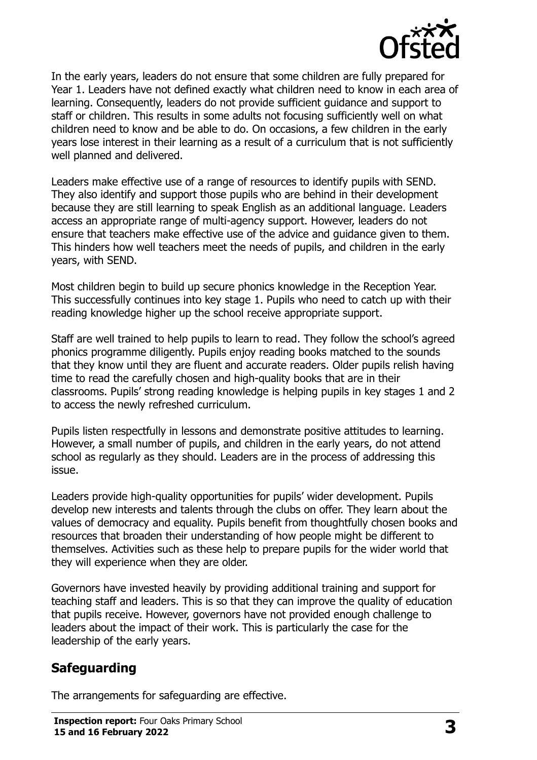

In the early years, leaders do not ensure that some children are fully prepared for Year 1. Leaders have not defined exactly what children need to know in each area of learning. Consequently, leaders do not provide sufficient guidance and support to staff or children. This results in some adults not focusing sufficiently well on what children need to know and be able to do. On occasions, a few children in the early years lose interest in their learning as a result of a curriculum that is not sufficiently well planned and delivered.

Leaders make effective use of a range of resources to identify pupils with SEND. They also identify and support those pupils who are behind in their development because they are still learning to speak English as an additional language. Leaders access an appropriate range of multi-agency support. However, leaders do not ensure that teachers make effective use of the advice and guidance given to them. This hinders how well teachers meet the needs of pupils, and children in the early years, with SEND.

Most children begin to build up secure phonics knowledge in the Reception Year. This successfully continues into key stage 1. Pupils who need to catch up with their reading knowledge higher up the school receive appropriate support.

Staff are well trained to help pupils to learn to read. They follow the school's agreed phonics programme diligently. Pupils enjoy reading books matched to the sounds that they know until they are fluent and accurate readers. Older pupils relish having time to read the carefully chosen and high-quality books that are in their classrooms. Pupils' strong reading knowledge is helping pupils in key stages 1 and 2 to access the newly refreshed curriculum.

Pupils listen respectfully in lessons and demonstrate positive attitudes to learning. However, a small number of pupils, and children in the early years, do not attend school as regularly as they should. Leaders are in the process of addressing this issue.

Leaders provide high-quality opportunities for pupils' wider development. Pupils develop new interests and talents through the clubs on offer. They learn about the values of democracy and equality. Pupils benefit from thoughtfully chosen books and resources that broaden their understanding of how people might be different to themselves. Activities such as these help to prepare pupils for the wider world that they will experience when they are older.

Governors have invested heavily by providing additional training and support for teaching staff and leaders. This is so that they can improve the quality of education that pupils receive. However, governors have not provided enough challenge to leaders about the impact of their work. This is particularly the case for the leadership of the early years.

## **Safeguarding**

The arrangements for safeguarding are effective.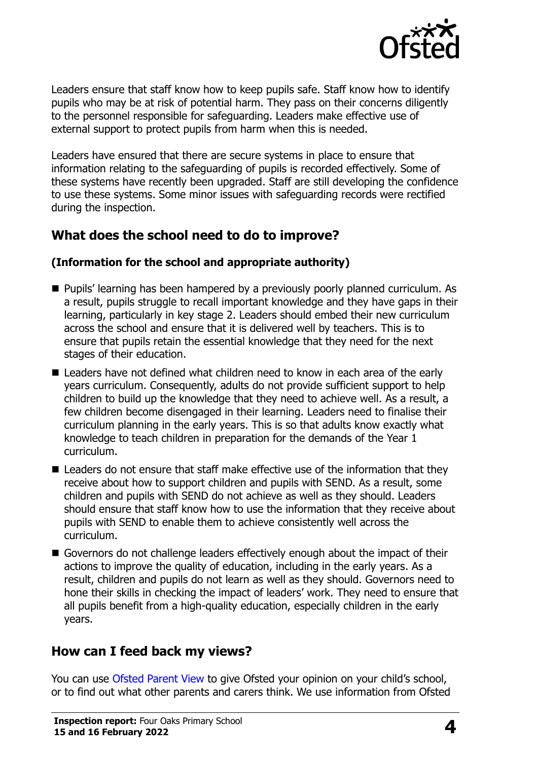

Leaders ensure that staff know how to keep pupils safe. Staff know how to identify pupils who may be at risk of potential harm. They pass on their concerns diligently to the personnel responsible for safeguarding. Leaders make effective use of external support to protect pupils from harm when this is needed.

Leaders have ensured that there are secure systems in place to ensure that information relating to the safeguarding of pupils is recorded effectively. Some of these systems have recently been upgraded. Staff are still developing the confidence to use these systems. Some minor issues with safeguarding records were rectified during the inspection.

## **What does the school need to do to improve?**

#### **(Information for the school and appropriate authority)**

- **Pupils' learning has been hampered by a previously poorly planned curriculum. As** a result, pupils struggle to recall important knowledge and they have gaps in their learning, particularly in key stage 2. Leaders should embed their new curriculum across the school and ensure that it is delivered well by teachers. This is to ensure that pupils retain the essential knowledge that they need for the next stages of their education.
- Leaders have not defined what children need to know in each area of the early years curriculum. Consequently, adults do not provide sufficient support to help children to build up the knowledge that they need to achieve well. As a result, a few children become disengaged in their learning. Leaders need to finalise their curriculum planning in the early years. This is so that adults know exactly what knowledge to teach children in preparation for the demands of the Year 1 curriculum.
- Leaders do not ensure that staff make effective use of the information that they receive about how to support children and pupils with SEND. As a result, some children and pupils with SEND do not achieve as well as they should. Leaders should ensure that staff know how to use the information that they receive about pupils with SEND to enable them to achieve consistently well across the curriculum.
- Governors do not challenge leaders effectively enough about the impact of their actions to improve the quality of education, including in the early years. As a result, children and pupils do not learn as well as they should. Governors need to hone their skills in checking the impact of leaders' work. They need to ensure that all pupils benefit from a high-quality education, especially children in the early years.

## **How can I feed back my views?**

You can use [Ofsted Parent View](http://parentview.ofsted.gov.uk/) to give Ofsted your opinion on your child's school, or to find out what other parents and carers think. We use information from Ofsted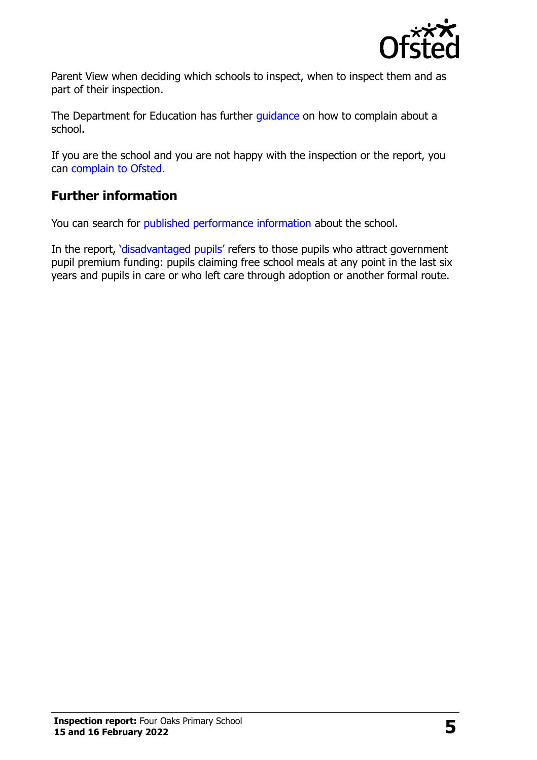

Parent View when deciding which schools to inspect, when to inspect them and as part of their inspection.

The Department for Education has further quidance on how to complain about a school.

If you are the school and you are not happy with the inspection or the report, you can [complain to Ofsted.](http://www.gov.uk/complain-ofsted-report)

## **Further information**

You can search for [published performance information](http://www.compare-school-performance.service.gov.uk/) about the school.

In the report, '[disadvantaged pupils](http://www.gov.uk/guidance/pupil-premium-information-for-schools-and-alternative-provision-settings)' refers to those pupils who attract government pupil premium funding: pupils claiming free school meals at any point in the last six years and pupils in care or who left care through adoption or another formal route.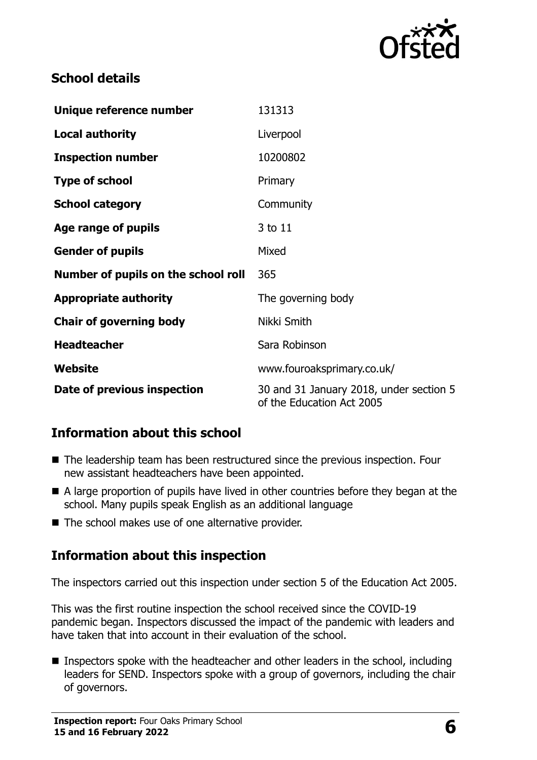

### **School details**

| Unique reference number             | 131313                                                               |  |
|-------------------------------------|----------------------------------------------------------------------|--|
| <b>Local authority</b>              | Liverpool                                                            |  |
| <b>Inspection number</b>            | 10200802                                                             |  |
| <b>Type of school</b>               | Primary                                                              |  |
| <b>School category</b>              | Community                                                            |  |
| Age range of pupils                 | 3 to 11                                                              |  |
| <b>Gender of pupils</b>             | Mixed                                                                |  |
| Number of pupils on the school roll | 365                                                                  |  |
| <b>Appropriate authority</b>        | The governing body                                                   |  |
| <b>Chair of governing body</b>      | Nikki Smith                                                          |  |
| <b>Headteacher</b>                  | Sara Robinson                                                        |  |
| Website                             | www.fouroaksprimary.co.uk/                                           |  |
| Date of previous inspection         | 30 and 31 January 2018, under section 5<br>of the Education Act 2005 |  |

## **Information about this school**

- The leadership team has been restructured since the previous inspection. Four new assistant headteachers have been appointed.
- A large proportion of pupils have lived in other countries before they began at the school. Many pupils speak English as an additional language
- The school makes use of one alternative provider.

## **Information about this inspection**

The inspectors carried out this inspection under section 5 of the Education Act 2005.

This was the first routine inspection the school received since the COVID-19 pandemic began. Inspectors discussed the impact of the pandemic with leaders and have taken that into account in their evaluation of the school.

**Inspectors spoke with the headteacher and other leaders in the school, including** leaders for SEND. Inspectors spoke with a group of governors, including the chair of governors.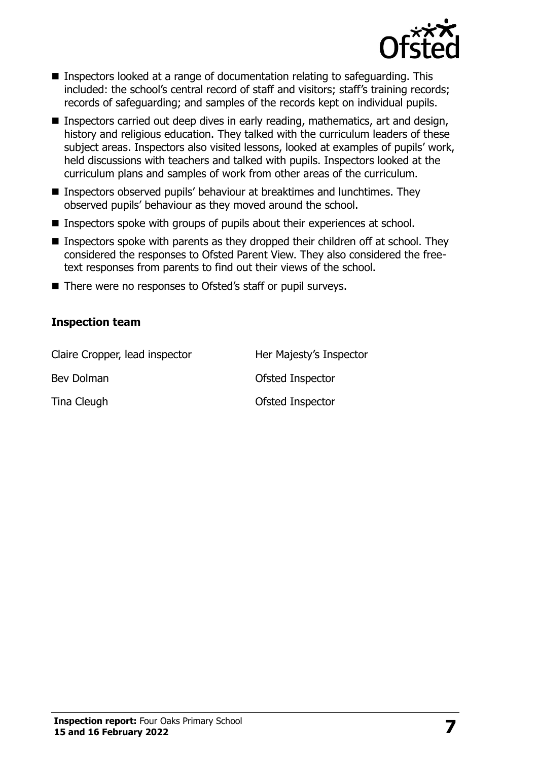

- Inspectors looked at a range of documentation relating to safeguarding. This included: the school's central record of staff and visitors; staff's training records; records of safeguarding; and samples of the records kept on individual pupils.
- Inspectors carried out deep dives in early reading, mathematics, art and design, history and religious education. They talked with the curriculum leaders of these subject areas. Inspectors also visited lessons, looked at examples of pupils' work, held discussions with teachers and talked with pupils. Inspectors looked at the curriculum plans and samples of work from other areas of the curriculum.
- Inspectors observed pupils' behaviour at breaktimes and lunchtimes. They observed pupils' behaviour as they moved around the school.
- Inspectors spoke with groups of pupils about their experiences at school.
- Inspectors spoke with parents as they dropped their children off at school. They considered the responses to Ofsted Parent View. They also considered the freetext responses from parents to find out their views of the school.
- There were no responses to Ofsted's staff or pupil surveys.

#### **Inspection team**

| Claire Cropper, lead inspector | Her Majesty's Inspector |
|--------------------------------|-------------------------|
| Bev Dolman                     | Ofsted Inspector        |
| Tina Cleugh                    | Ofsted Inspector        |